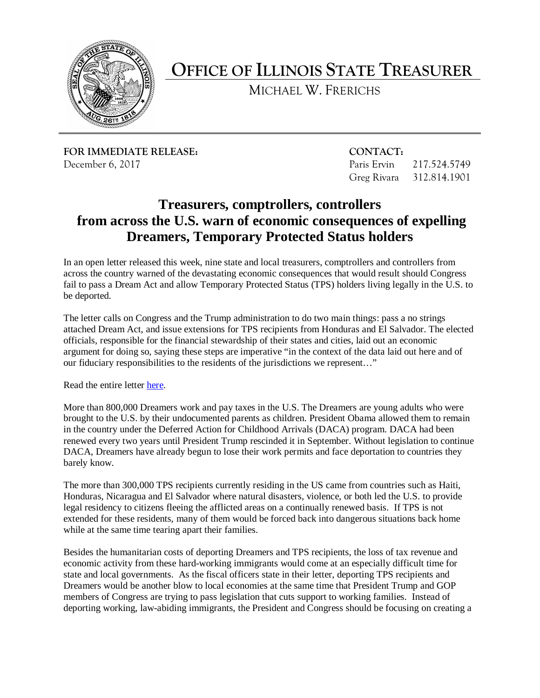

**OFFICE OF ILLINOIS STATE TREASURER** 

MICHAEL W. FRERICHS

**FOR IMMEDIATE RELEASE:** CONTACT: December 6, 2017 Paris Ervin 217.524.5749

Greg Rivara 312.814.1901

## **from across the U.S. warn of economic consequences of expelling Treasurers, comptrollers, controllers Dreamers, Temporary Protected Status holders**

 fail to pass a Dream Act and allow Temporary Protected Status (TPS) holders living legally in the U.S. to In an open letter released this week, nine state and local treasurers, comptrollers and controllers from across the country warned of the devastating economic consequences that would result should Congress be deported.

 The letter calls on Congress and the Trump administration to do two main things: pass a no strings attached Dream Act, and issue extensions for TPS recipients from Honduras and El Salvador. The elected officials, responsible for the financial stewardship of their states and cities, laid out an economic argument for doing so, saying these steps are imperative "in the context of the data laid out here and of our fiduciary responsibilities to the residents of the jurisdictions we represent…"

Read the entire letter [here.](https://drive.google.com/file/d/1My2-TZz-pbqloqCpQvFoPKDGLweeYCVu/view?usp=sharing)

 brought to the U.S. by their undocumented parents as children. President Obama allowed them to remain barely know. More than 800,000 Dreamers work and pay taxes in the U.S. The Dreamers are young adults who were in the country under the Deferred Action for Childhood Arrivals (DACA) program. DACA had been renewed every two years until President Trump rescinded it in September. Without legislation to continue DACA, Dreamers have already begun to lose their work permits and face deportation to countries they

 legal residency to citizens fleeing the afflicted areas on a continually renewed basis. If TPS is not while at the same time tearing apart their families. The more than 300,000 TPS recipients currently residing in the US came from countries such as Haiti, Honduras, Nicaragua and El Salvador where natural disasters, violence, or both led the U.S. to provide extended for these residents, many of them would be forced back into dangerous situations back home

Besides the humanitarian costs of deporting Dreamers and TPS recipients, the loss of tax revenue and economic activity from these hard-working immigrants would come at an especially difficult time for state and local governments. As the fiscal officers state in their letter, deporting TPS recipients and Dreamers would be another blow to local economies at the same time that President Trump and GOP members of Congress are trying to pass legislation that cuts support to working families. Instead of deporting working, law-abiding immigrants, the President and Congress should be focusing on creating a